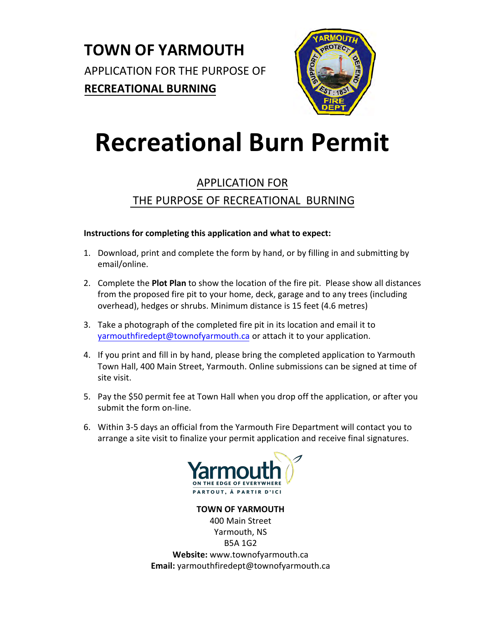

# **Recreational Burn Permit**

# APPLICATION FOR THE PURPOSE OF RECREATIONAL BURNING

### **Instructions for completing this application and what to expect:**

- 1. Download, print and complete the form by hand, or by filling in and submitting by email/online.
- 2. Complete the **Plot Plan** to show the location of the fire pit. Please show all distances from the proposed fire pit to your home, deck, garage and to any trees (including overhead), hedges or shrubs. Minimum distance is 15 feet (4.6 metres)
- 3. Take a photograph of the completed fire pit in its location and email it to [yarmouthfiredept@townofyarmouth.ca](mailto: yarmouthfiredept@townofyarmouth.ca, fire.chief@townofyarmouth.ca) or attach it to your application.
- 4. If you print and fill in by hand, please bring the completed application to Yarmouth Town Hall, 400 Main Street, Yarmouth. Online submissions can be signed at time of site visit.
- 5. Pay the \$50 permit fee at Town Hall when you drop off the application, or after you submit the form on-line.
- 6. Within 3-5 days an official from the Yarmouth Fire Department will contact you to arrange a site visit to finalize your permit application and receive final signatures.



**TOWN OF YARMOUTH** 400 Main Street Yarmouth, NS B5A 1G2 **Website:** www.townofyarmouth.ca **Email:** yarmouthfiredept@townofyarmouth.ca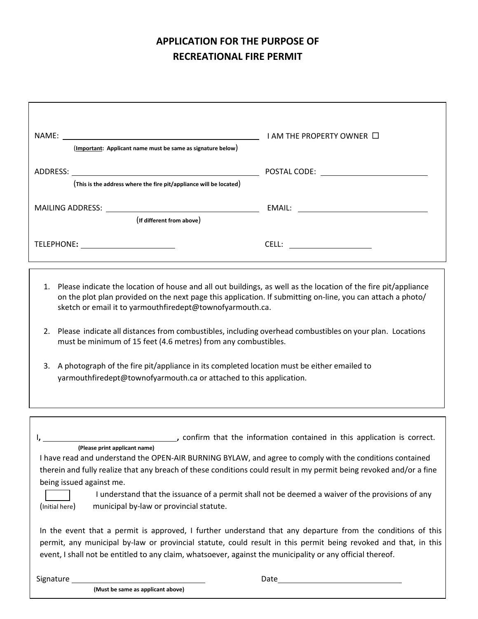# **APPLICATION FOR THE PURPOSE OF RECREATIONAL FIRE PERMIT**

|                                                                    | I AM THE PROPERTY OWNER $\Box$ |
|--------------------------------------------------------------------|--------------------------------|
| (Important: Applicant name must be same as signature below)        |                                |
| (This is the address where the fire pit/appliance will be located) |                                |
| MAILING ADDRESS:<br>(If different from above)                      |                                |
| TELEPHONE:                                                         | CELL:                          |

- 1. Please indicate the location of house and all out buildings, as well as the location of the fire pit/appliance on the plot plan provided on the next page this application. If submitting on-line, you can attach a photo/ sketch or email it to yarmouthfiredept@townofyarmouth.ca.
- 2. Please indicate all distances from combustibles, including overhead combustibles on your plan. Locations must be minimum of 15 feet (4.6 metres) from any combustibles.
- 3. A photograph of the fire pit/appliance in its completed location must be either emailed to yarmouthfiredept@townofyarmouth.ca or attached to this application.

|                          | , confirm that the information contained in this application is correct.                                                                                                                                                                                                                                                                     |
|--------------------------|----------------------------------------------------------------------------------------------------------------------------------------------------------------------------------------------------------------------------------------------------------------------------------------------------------------------------------------------|
|                          | (Please print applicant name)                                                                                                                                                                                                                                                                                                                |
|                          | I have read and understand the OPEN-AIR BURNING BYLAW, and agree to comply with the conditions contained                                                                                                                                                                                                                                     |
|                          | therein and fully realize that any breach of these conditions could result in my permit being revoked and/or a fine                                                                                                                                                                                                                          |
| being issued against me. |                                                                                                                                                                                                                                                                                                                                              |
|                          | I understand that the issuance of a permit shall not be deemed a waiver of the provisions of any                                                                                                                                                                                                                                             |
| (Initial here)           | municipal by-law or provincial statute.                                                                                                                                                                                                                                                                                                      |
|                          | In the event that a permit is approved, I further understand that any departure from the conditions of this<br>permit, any municipal by-law or provincial statute, could result in this permit being revoked and that, in this<br>event, I shall not be entitled to any claim, whatsoever, against the municipality or any official thereof. |
| Signature                | Date                                                                                                                                                                                                                                                                                                                                         |

**(Must be same as applicant above)**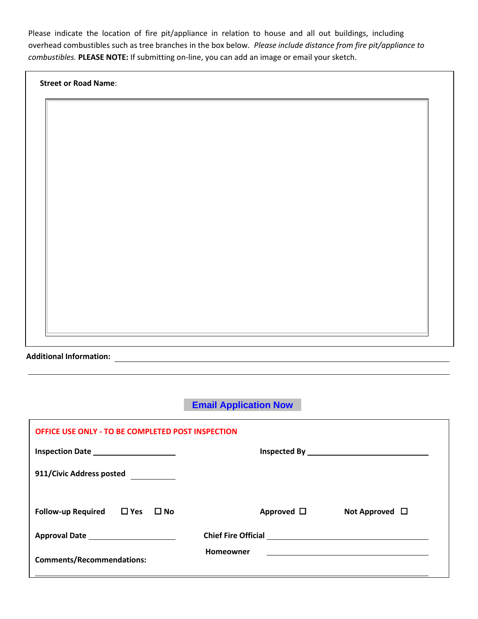Please indicate the location of fire pit/appliance in relation to house and all out buildings, including overhead combustibles such as tree branches in the box below. *Please include distance from fire pit/appliance to combustibles.* **PLEASE NOTE:** If submitting on-line, you can add an image or email your sketch.

|  |  |  | <b>Street or Road Name:</b> |
|--|--|--|-----------------------------|
|--|--|--|-----------------------------|

**Additional Information:** 

**Email Application Now**

| <b>OFFICE USE ONLY - TO BE COMPLETED POST INSPECTION</b> |                                        |  |  |  |  |
|----------------------------------------------------------|----------------------------------------|--|--|--|--|
| Inspection Date _____________________                    |                                        |  |  |  |  |
| 911/Civic Address posted                                 |                                        |  |  |  |  |
| Follow-up Required $\Box$ Yes $\Box$ No                  | Approved $\Box$<br>Not Approved $\Box$ |  |  |  |  |
|                                                          |                                        |  |  |  |  |
| <b>Comments/Recommendations:</b>                         | <b>Homeowner</b>                       |  |  |  |  |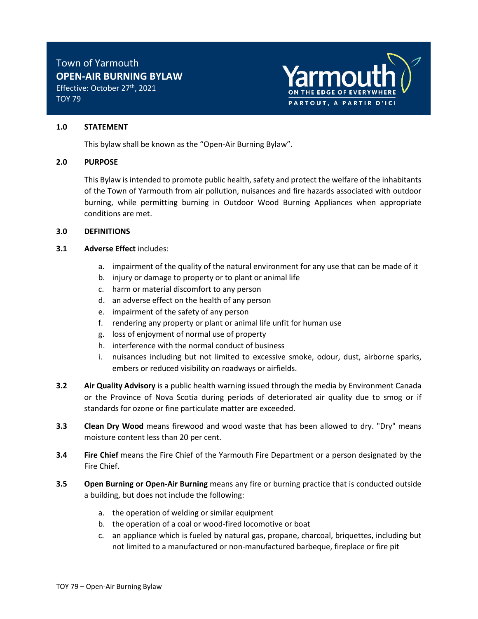TOY 79



#### **1.0 STATEMENT**

This bylaw shall be known as the "Open-Air Burning Bylaw".

#### **2.0 PURPOSE**

This Bylaw is intended to promote public health, safety and protect the welfare of the inhabitants of the Town of Yarmouth from air pollution, nuisances and fire hazards associated with outdoor burning, while permitting burning in Outdoor Wood Burning Appliances when appropriate conditions are met.

#### **3.0 DEFINITIONS**

#### **3.1** Adverse Effect includes:

- a. impairment of the quality of the natural environment for any use that can be made of it
- b. injury or damage to property or to plant or animal life
- c. harm or material discomfort to any person
- d. an adverse effect on the health of any person
- e. impairment of the safety of any person
- f. rendering any property or plant or animal life unfit for human use
- g. loss of enjoyment of normal use of property
- h. interference with the normal conduct of business
- i. nuisances including but not limited to excessive smoke, odour, dust, airborne sparks, embers or reduced visibility on roadways or airfields.
- **3.2 Air Quality Advisory** is a public health warning issued through the media by Environment Canada or the Province of Nova Scotia during periods of deteriorated air quality due to smog or if standards for ozone or fine particulate matter are exceeded.
- **3.3 Clean Dry Wood** means firewood and wood waste that has been allowed to dry. "Dry" means moisture content less than 20 per cent.
- **3.4 Fire Chief** means the Fire Chief of the Yarmouth Fire Department or a person designated by the Fire Chief.
- **3.5 Open Burning or Open-Air Burning** means any fire or burning practice that is conducted outside a building, but does not include the following:
	- a. the operation of welding or similar equipment
	- b. the operation of a coal or wood-fired locomotive or boat
	- c. an appliance which is fueled by natural gas, propane, charcoal, briquettes, including but not limited to a manufactured or non-manufactured barbeque, fireplace or fire pit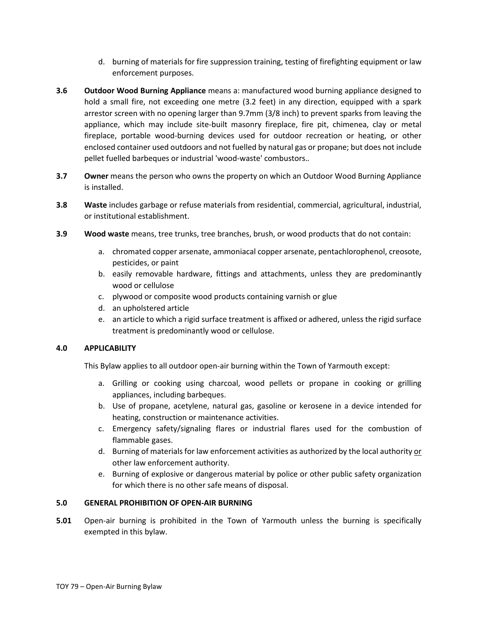- d. burning of materials for fire suppression training, testing of firefighting equipment or law enforcement purposes.
- **3.6 Outdoor Wood Burning Appliance** means a: manufactured wood burning appliance designed to hold a small fire, not exceeding one metre (3.2 feet) in any direction, equipped with a spark arrestor screen with no opening larger than 9.7mm (3/8 inch) to prevent sparks from leaving the appliance, which may include site-built masonry fireplace, fire pit, chimenea, clay or metal fireplace, portable wood-burning devices used for outdoor recreation or heating, or other enclosed container used outdoors and not fuelled by natural gas or propane; but does not include pellet fuelled barbeques or industrial 'wood-waste' combustors.*.*
- **3.7** Owner means the person who owns the property on which an Outdoor Wood Burning Appliance is installed.
- **3.8 Waste** includes garbage or refuse materials from residential, commercial, agricultural, industrial, or institutional establishment.
- **3.9 Wood waste** means, tree trunks, tree branches, brush, or wood products that do not contain:
	- a. chromated copper arsenate, ammoniacal copper arsenate, pentachlorophenol, creosote, pesticides, or paint
	- b. easily removable hardware, fittings and attachments, unless they are predominantly wood or cellulose
	- c. plywood or composite wood products containing varnish or glue
	- d. an upholstered article
	- e. an article to which a rigid surface treatment is affixed or adhered, unless the rigid surface treatment is predominantly wood or cellulose.

#### **4.0 APPLICABILITY**

This Bylaw applies to all outdoor open-air burning within the Town of Yarmouth except:

- a. Grilling or cooking using charcoal, wood pellets or propane in cooking or grilling appliances, including barbeques.
- b. Use of propane, acetylene, natural gas, gasoline or kerosene in a device intended for heating, construction or maintenance activities.
- c. Emergency safety/signaling flares or industrial flares used for the combustion of flammable gases.
- d. Burning of materials for law enforcement activities as authorized by the local authority or other law enforcement authority.
- e. Burning of explosive or dangerous material by police or other public safety organization for which there is no other safe means of disposal.

#### **5.0 GENERAL PROHIBITION OF OPEN-AIR BURNING**

**5.01** Open-air burning is prohibited in the Town of Yarmouth unless the burning is specifically exempted in this bylaw.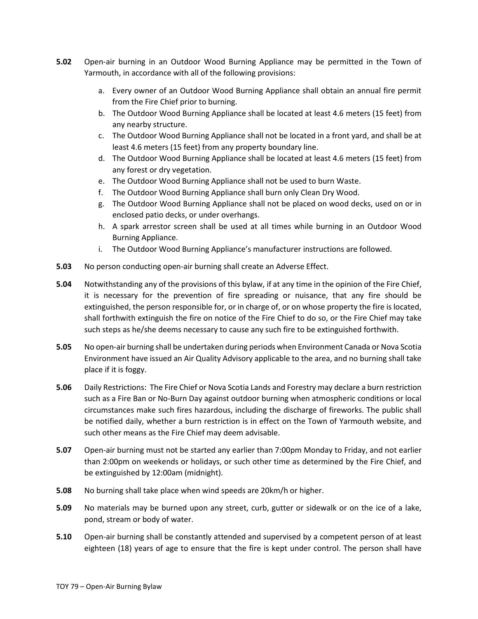- **5.02** Open-air burning in an Outdoor Wood Burning Appliance may be permitted in the Town of Yarmouth, in accordance with all of the following provisions:
	- a. Every owner of an Outdoor Wood Burning Appliance shall obtain an annual fire permit from the Fire Chief prior to burning.
	- b. The Outdoor Wood Burning Appliance shall be located at least 4.6 meters (15 feet) from any nearby structure.
	- c. The Outdoor Wood Burning Appliance shall not be located in a front yard, and shall be at least 4.6 meters (15 feet) from any property boundary line.
	- d. The Outdoor Wood Burning Appliance shall be located at least 4.6 meters (15 feet) from any forest or dry vegetation.
	- e. The Outdoor Wood Burning Appliance shall not be used to burn Waste.
	- f. The Outdoor Wood Burning Appliance shall burn only Clean Dry Wood.
	- g. The Outdoor Wood Burning Appliance shall not be placed on wood decks, used on or in enclosed patio decks, or under overhangs.
	- h. A spark arrestor screen shall be used at all times while burning in an Outdoor Wood Burning Appliance.
	- i. The Outdoor Wood Burning Appliance's manufacturer instructions are followed.
- **5.03** No person conducting open-air burning shall create an Adverse Effect.
- **5.04** Notwithstanding any of the provisions of this bylaw, if at any time in the opinion of the Fire Chief, it is necessary for the prevention of fire spreading or nuisance, that any fire should be extinguished, the person responsible for, or in charge of, or on whose property the fire is located, shall forthwith extinguish the fire on notice of the Fire Chief to do so, or the Fire Chief may take such steps as he/she deems necessary to cause any such fire to be extinguished forthwith.
- **5.05** No open-air burning shall be undertaken during periods when Environment Canada or Nova Scotia Environment have issued an Air Quality Advisory applicable to the area, and no burning shall take place if it is foggy.
- **5.06** Daily Restrictions: The Fire Chief or Nova Scotia Lands and Forestry may declare a burn restriction such as a Fire Ban or No-Burn Day against outdoor burning when atmospheric conditions or local circumstances make such fires hazardous, including the discharge of fireworks. The public shall be notified daily, whether a burn restriction is in effect on the Town of Yarmouth website, and such other means as the Fire Chief may deem advisable.
- **5.07** Open-air burning must not be started any earlier than 7:00pm Monday to Friday, and not earlier than 2:00pm on weekends or holidays, or such other time as determined by the Fire Chief, and be extinguished by 12:00am (midnight).
- **5.08** No burning shall take place when wind speeds are 20km/h or higher.
- **5.09** No materials may be burned upon any street, curb, gutter or sidewalk or on the ice of a lake, pond, stream or body of water.
- **5.10** Open-air burning shall be constantly attended and supervised by a competent person of at least eighteen (18) years of age to ensure that the fire is kept under control. The person shall have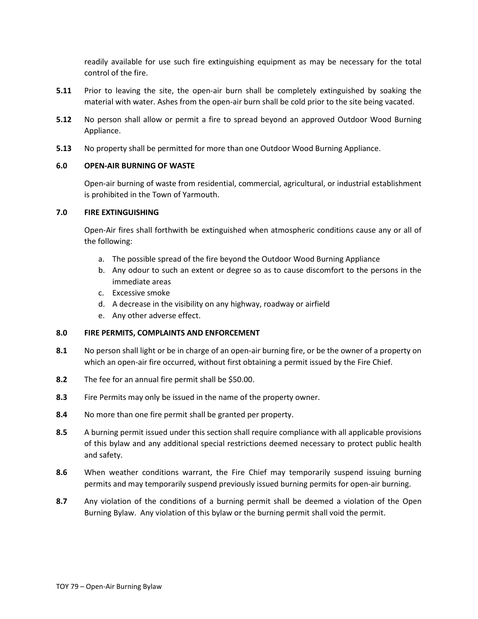readily available for use such fire extinguishing equipment as may be necessary for the total control of the fire.

- **5.11** Prior to leaving the site, the open-air burn shall be completely extinguished by soaking the material with water. Ashes from the open-air burn shall be cold prior to the site being vacated.
- **5.12** No person shall allow or permit a fire to spread beyond an approved Outdoor Wood Burning Appliance.
- **5.13** No property shall be permitted for more than one Outdoor Wood Burning Appliance.

#### **6.0 OPEN-AIR BURNING OF WASTE**

Open-air burning of waste from residential, commercial, agricultural, or industrial establishment is prohibited in the Town of Yarmouth.

#### **7.0 FIRE EXTINGUISHING**

Open-Air fires shall forthwith be extinguished when atmospheric conditions cause any or all of the following:

- a. The possible spread of the fire beyond the Outdoor Wood Burning Appliance
- b. Any odour to such an extent or degree so as to cause discomfort to the persons in the immediate areas
- c. Excessive smoke
- d. A decrease in the visibility on any highway, roadway or airfield
- e. Any other adverse effect.

#### **8.0 FIRE PERMITS, COMPLAINTS AND ENFORCEMENT**

- **8.1** No person shall light or be in charge of an open-air burning fire, or be the owner of a property on which an open-air fire occurred, without first obtaining a permit issued by the Fire Chief.
- **8.2** The fee for an annual fire permit shall be \$50.00.
- **8.3** Fire Permits may only be issued in the name of the property owner.
- **8.4** No more than one fire permit shall be granted per property.
- **8.5** A burning permit issued under this section shall require compliance with all applicable provisions of this bylaw and any additional special restrictions deemed necessary to protect public health and safety.
- **8.6** When weather conditions warrant, the Fire Chief may temporarily suspend issuing burning permits and may temporarily suspend previously issued burning permits for open-air burning.
- **8.7** Any violation of the conditions of a burning permit shall be deemed a violation of the Open Burning Bylaw. Any violation of this bylaw or the burning permit shall void the permit.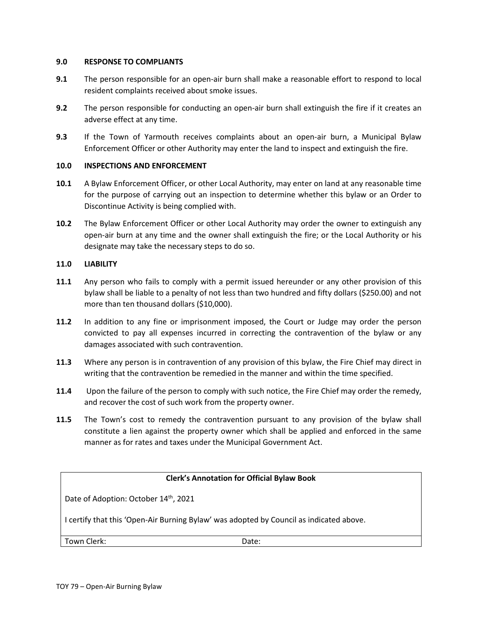#### **9.0 RESPONSE TO COMPLIANTS**

- **9.1** The person responsible for an open-air burn shall make a reasonable effort to respond to local resident complaints received about smoke issues.
- **9.2** The person responsible for conducting an open-air burn shall extinguish the fire if it creates an adverse effect at any time.
- **9.3** If the Town of Yarmouth receives complaints about an open-air burn, a Municipal Bylaw Enforcement Officer or other Authority may enter the land to inspect and extinguish the fire.

#### **10.0 INSPECTIONS AND ENFORCEMENT**

- **10.1** A Bylaw Enforcement Officer, or other Local Authority, may enter on land at any reasonable time for the purpose of carrying out an inspection to determine whether this bylaw or an Order to Discontinue Activity is being complied with.
- **10.2** The Bylaw Enforcement Officer or other Local Authority may order the owner to extinguish any open-air burn at any time and the owner shall extinguish the fire; or the Local Authority or his designate may take the necessary steps to do so.

#### **11.0 LIABILITY**

- **11.1** Any person who fails to comply with a permit issued hereunder or any other provision of this bylaw shall be liable to a penalty of not less than two hundred and fifty dollars (\$250.00) and not more than ten thousand dollars (\$10,000).
- **11.2** In addition to any fine or imprisonment imposed, the Court or Judge may order the person convicted to pay all expenses incurred in correcting the contravention of the bylaw or any damages associated with such contravention.
- **11.3** Where any person is in contravention of any provision of this bylaw, the Fire Chief may direct in writing that the contravention be remedied in the manner and within the time specified.
- **11.4** Upon the failure of the person to comply with such notice, the Fire Chief may order the remedy, and recover the cost of such work from the property owner.
- **11.5** The Town's cost to remedy the contravention pursuant to any provision of the bylaw shall constitute a lien against the property owner which shall be applied and enforced in the same manner as for rates and taxes under the Municipal Government Act.

#### **Clerk's Annotation for Official Bylaw Book**

Date of Adoption: October 14<sup>th</sup>, 2021

I certify that this 'Open-Air Burning Bylaw' was adopted by Council as indicated above.

Town Clerk: Date: Date: Date: